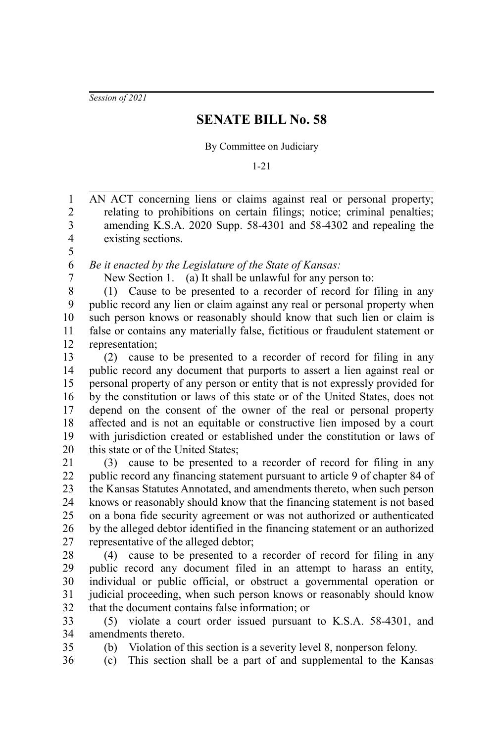*Session of 2021*

## **SENATE BILL No. 58**

By Committee on Judiciary

1-21

AN ACT concerning liens or claims against real or personal property; relating to prohibitions on certain filings; notice; criminal penalties; amending K.S.A. 2020 Supp. 58-4301 and 58-4302 and repealing the existing sections. 1 2 3 4 5

*Be it enacted by the Legislature of the State of Kansas:*

6 7

New Section 1. (a) It shall be unlawful for any person to:

(1) Cause to be presented to a recorder of record for filing in any public record any lien or claim against any real or personal property when such person knows or reasonably should know that such lien or claim is false or contains any materially false, fictitious or fraudulent statement or representation; 8 9 10 11 12

(2) cause to be presented to a recorder of record for filing in any public record any document that purports to assert a lien against real or personal property of any person or entity that is not expressly provided for by the constitution or laws of this state or of the United States, does not depend on the consent of the owner of the real or personal property affected and is not an equitable or constructive lien imposed by a court with jurisdiction created or established under the constitution or laws of this state or of the United States; 13 14 15 16 17 18 19 20

(3) cause to be presented to a recorder of record for filing in any public record any financing statement pursuant to article 9 of chapter 84 of the Kansas Statutes Annotated, and amendments thereto, when such person knows or reasonably should know that the financing statement is not based on a bona fide security agreement or was not authorized or authenticated by the alleged debtor identified in the financing statement or an authorized representative of the alleged debtor; 21 22 23 24 25 26 27

(4) cause to be presented to a recorder of record for filing in any public record any document filed in an attempt to harass an entity, individual or public official, or obstruct a governmental operation or judicial proceeding, when such person knows or reasonably should know that the document contains false information; or 28 29 30 31 32

(5) violate a court order issued pursuant to K.S.A. 58-4301, and amendments thereto. 33 34

(b) Violation of this section is a severity level 8, nonperson felony.

(c) This section shall be a part of and supplemental to the Kansas

35 36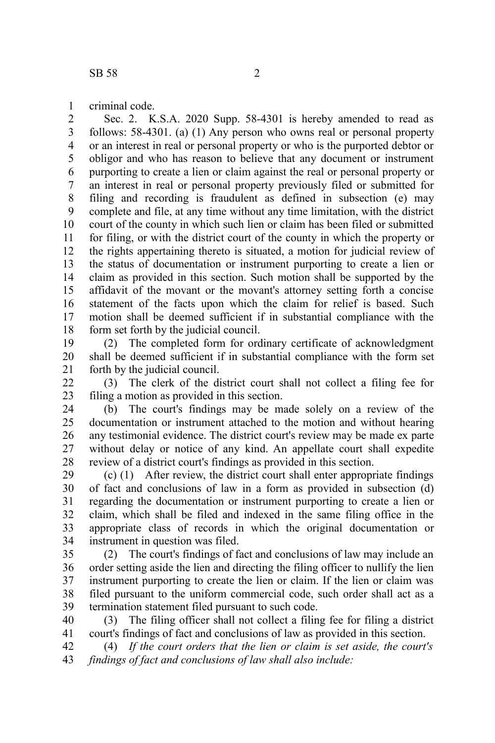criminal code. 1

Sec. 2. K.S.A. 2020 Supp. 58-4301 is hereby amended to read as follows: 58-4301. (a) (1) Any person who owns real or personal property or an interest in real or personal property or who is the purported debtor or obligor and who has reason to believe that any document or instrument purporting to create a lien or claim against the real or personal property or an interest in real or personal property previously filed or submitted for filing and recording is fraudulent as defined in subsection (e) may complete and file, at any time without any time limitation, with the district court of the county in which such lien or claim has been filed or submitted for filing, or with the district court of the county in which the property or the rights appertaining thereto is situated, a motion for judicial review of the status of documentation or instrument purporting to create a lien or claim as provided in this section. Such motion shall be supported by the affidavit of the movant or the movant's attorney setting forth a concise statement of the facts upon which the claim for relief is based. Such motion shall be deemed sufficient if in substantial compliance with the form set forth by the judicial council. 2 3 4 5 6 7 8 9 10 11 12 13 14 15 16 17 18

(2) The completed form for ordinary certificate of acknowledgment shall be deemed sufficient if in substantial compliance with the form set forth by the judicial council. 19 20 21

(3) The clerk of the district court shall not collect a filing fee for filing a motion as provided in this section. 22 23

(b) The court's findings may be made solely on a review of the documentation or instrument attached to the motion and without hearing any testimonial evidence. The district court's review may be made ex parte without delay or notice of any kind. An appellate court shall expedite review of a district court's findings as provided in this section. 24 25 26 27 28

(c) (1) After review, the district court shall enter appropriate findings of fact and conclusions of law in a form as provided in subsection (d) regarding the documentation or instrument purporting to create a lien or claim, which shall be filed and indexed in the same filing office in the appropriate class of records in which the original documentation or instrument in question was filed. 29 30 31 32 33 34

(2) The court's findings of fact and conclusions of law may include an order setting aside the lien and directing the filing officer to nullify the lien instrument purporting to create the lien or claim. If the lien or claim was filed pursuant to the uniform commercial code, such order shall act as a termination statement filed pursuant to such code. 35 36 37 38 39

(3) The filing officer shall not collect a filing fee for filing a district court's findings of fact and conclusions of law as provided in this section. 40 41

(4) *If the court orders that the lien or claim is set aside, the court's findings of fact and conclusions of law shall also include:* 42 43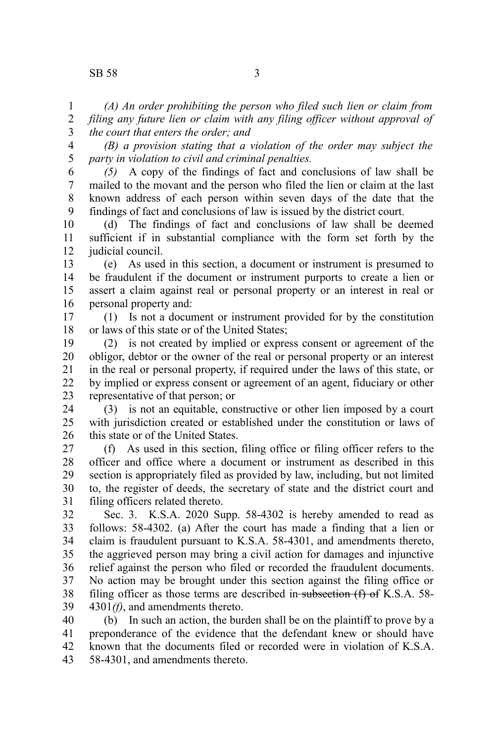## SB 58 3

*(A) An order prohibiting the person who filed such lien or claim from filing any future lien or claim with any filing officer without approval of the court that enters the order; and* 1 2 3

*(B) a provision stating that a violation of the order may subject the party in violation to civil and criminal penalties.* 4 5

*(5)* A copy of the findings of fact and conclusions of law shall be mailed to the movant and the person who filed the lien or claim at the last known address of each person within seven days of the date that the findings of fact and conclusions of law is issued by the district court. 6 7 8 9

(d) The findings of fact and conclusions of law shall be deemed sufficient if in substantial compliance with the form set forth by the judicial council. 10 11 12

(e) As used in this section, a document or instrument is presumed to be fraudulent if the document or instrument purports to create a lien or assert a claim against real or personal property or an interest in real or personal property and: 13 14 15 16

(1) Is not a document or instrument provided for by the constitution or laws of this state or of the United States; 17 18

(2) is not created by implied or express consent or agreement of the obligor, debtor or the owner of the real or personal property or an interest in the real or personal property, if required under the laws of this state, or by implied or express consent or agreement of an agent, fiduciary or other representative of that person; or 19 20 21 22 23

(3) is not an equitable, constructive or other lien imposed by a court with iurisdiction created or established under the constitution or laws of this state or of the United States. 24 25 26

(f) As used in this section, filing office or filing officer refers to the officer and office where a document or instrument as described in this section is appropriately filed as provided by law, including, but not limited to, the register of deeds, the secretary of state and the district court and filing officers related thereto. 27 28 29 30 31

Sec. 3. K.S.A. 2020 Supp. 58-4302 is hereby amended to read as follows: 58-4302. (a) After the court has made a finding that a lien or claim is fraudulent pursuant to K.S.A. 58-4301, and amendments thereto, the aggrieved person may bring a civil action for damages and injunctive relief against the person who filed or recorded the fraudulent documents. No action may be brought under this section against the filing office or filing officer as those terms are described in subsection  $(f)$  of K.S.A. 58-4301*(f)*, and amendments thereto. 32 33 34 35 36 37 38 39

(b) In such an action, the burden shall be on the plaintiff to prove by a preponderance of the evidence that the defendant knew or should have known that the documents filed or recorded were in violation of K.S.A. 58-4301, and amendments thereto. 40 41 42 43